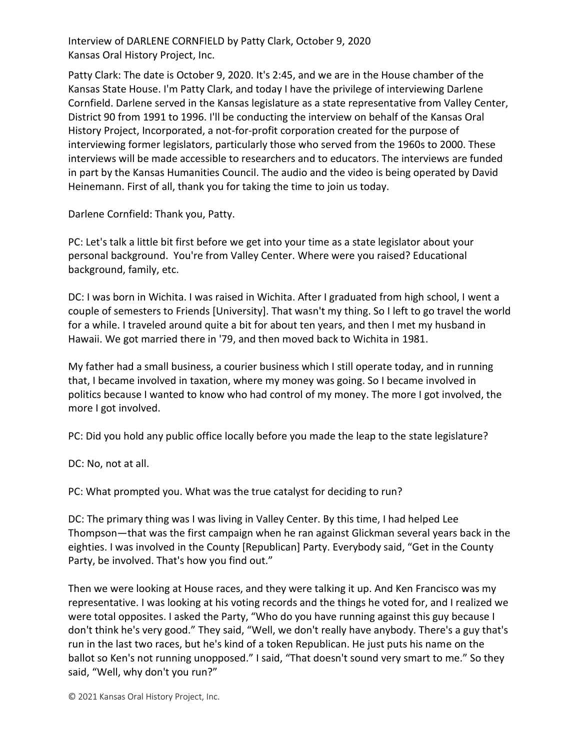Interview of DARLENE CORNFIELD by Patty Clark, October 9, 2020 Kansas Oral History Project, Inc.

Patty Clark: The date is October 9, 2020. It's 2:45, and we are in the House chamber of the Kansas State House. I'm Patty Clark, and today I have the privilege of interviewing Darlene Cornfield. Darlene served in the Kansas legislature as a state representative from Valley Center, District 90 from 1991 to 1996. I'll be conducting the interview on behalf of the Kansas Oral History Project, Incorporated, a not-for-profit corporation created for the purpose of interviewing former legislators, particularly those who served from the 1960s to 2000. These interviews will be made accessible to researchers and to educators. The interviews are funded in part by the Kansas Humanities Council. The audio and the video is being operated by David Heinemann. First of all, thank you for taking the time to join us today.

Darlene Cornfield: Thank you, Patty.

PC: Let's talk a little bit first before we get into your time as a state legislator about your personal background. You're from Valley Center. Where were you raised? Educational background, family, etc.

DC: I was born in Wichita. I was raised in Wichita. After I graduated from high school, I went a couple of semesters to Friends [University]. That wasn't my thing. So I left to go travel the world for a while. I traveled around quite a bit for about ten years, and then I met my husband in Hawaii. We got married there in '79, and then moved back to Wichita in 1981.

My father had a small business, a courier business which I still operate today, and in running that, I became involved in taxation, where my money was going. So I became involved in politics because I wanted to know who had control of my money. The more I got involved, the more I got involved.

PC: Did you hold any public office locally before you made the leap to the state legislature?

DC: No, not at all.

PC: What prompted you. What was the true catalyst for deciding to run?

DC: The primary thing was I was living in Valley Center. By this time, I had helped Lee Thompson—that was the first campaign when he ran against Glickman several years back in the eighties. I was involved in the County [Republican] Party. Everybody said, "Get in the County Party, be involved. That's how you find out."

Then we were looking at House races, and they were talking it up. And Ken Francisco was my representative. I was looking at his voting records and the things he voted for, and I realized we were total opposites. I asked the Party, "Who do you have running against this guy because I don't think he's very good." They said, "Well, we don't really have anybody. There's a guy that's run in the last two races, but he's kind of a token Republican. He just puts his name on the ballot so Ken's not running unopposed." I said, "That doesn't sound very smart to me." So they said, "Well, why don't you run?"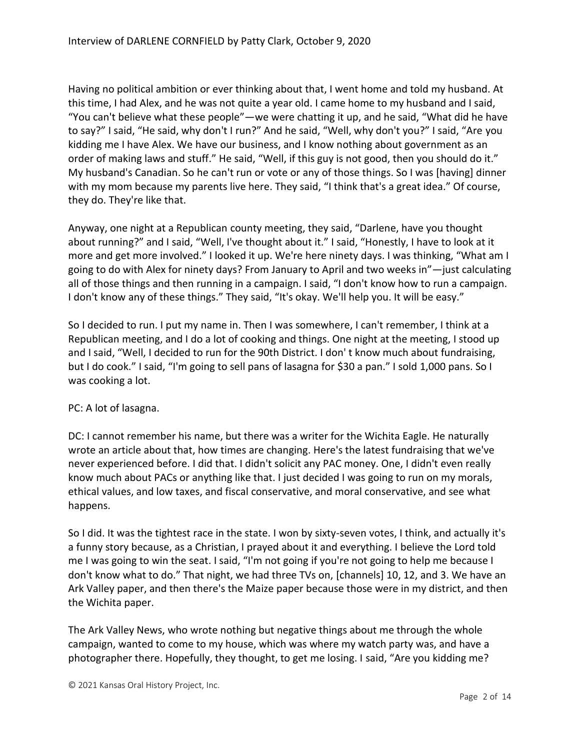Having no political ambition or ever thinking about that, I went home and told my husband. At this time, I had Alex, and he was not quite a year old. I came home to my husband and I said, "You can't believe what these people"—we were chatting it up, and he said, "What did he have to say?" I said, "He said, why don't I run?" And he said, "Well, why don't you?" I said, "Are you kidding me I have Alex. We have our business, and I know nothing about government as an order of making laws and stuff." He said, "Well, if this guy is not good, then you should do it." My husband's Canadian. So he can't run or vote or any of those things. So I was [having] dinner with my mom because my parents live here. They said, "I think that's a great idea." Of course, they do. They're like that.

Anyway, one night at a Republican county meeting, they said, "Darlene, have you thought about running?" and I said, "Well, I've thought about it." I said, "Honestly, I have to look at it more and get more involved." I looked it up. We're here ninety days. I was thinking, "What am I going to do with Alex for ninety days? From January to April and two weeks in"—just calculating all of those things and then running in a campaign. I said, "I don't know how to run a campaign. I don't know any of these things." They said, "It's okay. We'll help you. It will be easy."

So I decided to run. I put my name in. Then I was somewhere, I can't remember, I think at a Republican meeting, and I do a lot of cooking and things. One night at the meeting, I stood up and I said, "Well, I decided to run for the 90th District. I don' t know much about fundraising, but I do cook." I said, "I'm going to sell pans of lasagna for \$30 a pan." I sold 1,000 pans. So I was cooking a lot.

### PC: A lot of lasagna.

DC: I cannot remember his name, but there was a writer for the Wichita Eagle. He naturally wrote an article about that, how times are changing. Here's the latest fundraising that we've never experienced before. I did that. I didn't solicit any PAC money. One, I didn't even really know much about PACs or anything like that. I just decided I was going to run on my morals, ethical values, and low taxes, and fiscal conservative, and moral conservative, and see what happens.

So I did. It was the tightest race in the state. I won by sixty-seven votes, I think, and actually it's a funny story because, as a Christian, I prayed about it and everything. I believe the Lord told me I was going to win the seat. I said, "I'm not going if you're not going to help me because I don't know what to do." That night, we had three TVs on, [channels] 10, 12, and 3. We have an Ark Valley paper, and then there's the Maize paper because those were in my district, and then the Wichita paper.

The Ark Valley News, who wrote nothing but negative things about me through the whole campaign, wanted to come to my house, which was where my watch party was, and have a photographer there. Hopefully, they thought, to get me losing. I said, "Are you kidding me?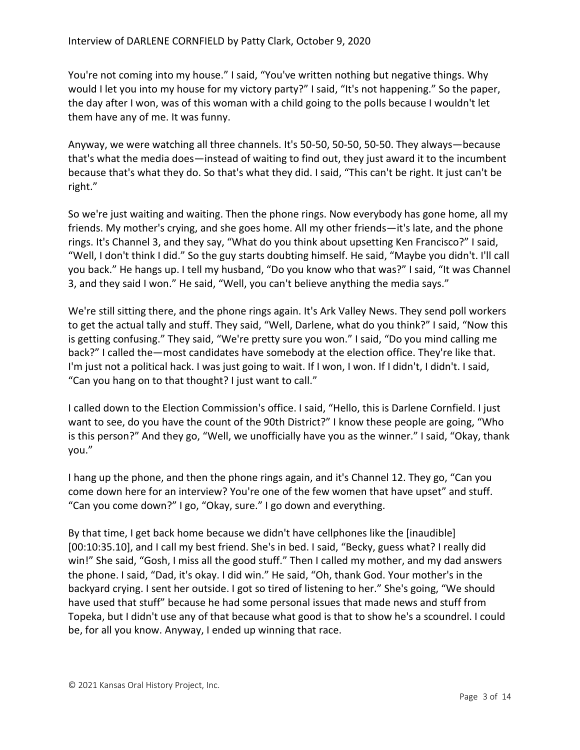You're not coming into my house." I said, "You've written nothing but negative things. Why would I let you into my house for my victory party?" I said, "It's not happening." So the paper, the day after I won, was of this woman with a child going to the polls because I wouldn't let them have any of me. It was funny.

Anyway, we were watching all three channels. It's 50-50, 50-50, 50-50. They always—because that's what the media does—instead of waiting to find out, they just award it to the incumbent because that's what they do. So that's what they did. I said, "This can't be right. It just can't be right."

So we're just waiting and waiting. Then the phone rings. Now everybody has gone home, all my friends. My mother's crying, and she goes home. All my other friends—it's late, and the phone rings. It's Channel 3, and they say, "What do you think about upsetting Ken Francisco?" I said, "Well, I don't think I did." So the guy starts doubting himself. He said, "Maybe you didn't. I'll call you back." He hangs up. I tell my husband, "Do you know who that was?" I said, "It was Channel 3, and they said I won." He said, "Well, you can't believe anything the media says."

We're still sitting there, and the phone rings again. It's Ark Valley News. They send poll workers to get the actual tally and stuff. They said, "Well, Darlene, what do you think?" I said, "Now this is getting confusing." They said, "We're pretty sure you won." I said, "Do you mind calling me back?" I called the—most candidates have somebody at the election office. They're like that. I'm just not a political hack. I was just going to wait. If I won, I won. If I didn't, I didn't. I said, "Can you hang on to that thought? I just want to call."

I called down to the Election Commission's office. I said, "Hello, this is Darlene Cornfield. I just want to see, do you have the count of the 90th District?" I know these people are going, "Who is this person?" And they go, "Well, we unofficially have you as the winner." I said, "Okay, thank you."

I hang up the phone, and then the phone rings again, and it's Channel 12. They go, "Can you come down here for an interview? You're one of the few women that have upset" and stuff. "Can you come down?" I go, "Okay, sure." I go down and everything.

By that time, I get back home because we didn't have cellphones like the [inaudible] [00:10:35.10], and I call my best friend. She's in bed. I said, "Becky, guess what? I really did win!" She said, "Gosh, I miss all the good stuff." Then I called my mother, and my dad answers the phone. I said, "Dad, it's okay. I did win." He said, "Oh, thank God. Your mother's in the backyard crying. I sent her outside. I got so tired of listening to her." She's going, "We should have used that stuff" because he had some personal issues that made news and stuff from Topeka, but I didn't use any of that because what good is that to show he's a scoundrel. I could be, for all you know. Anyway, I ended up winning that race.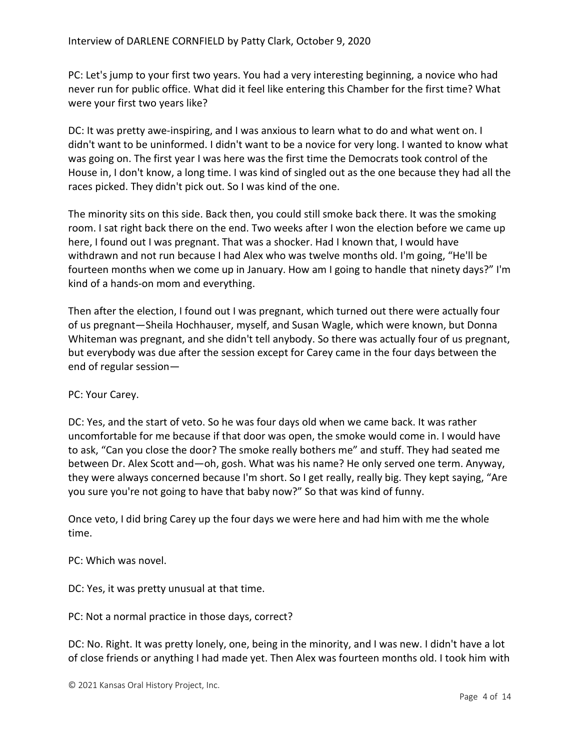PC: Let's jump to your first two years. You had a very interesting beginning, a novice who had never run for public office. What did it feel like entering this Chamber for the first time? What were your first two years like?

DC: It was pretty awe-inspiring, and I was anxious to learn what to do and what went on. I didn't want to be uninformed. I didn't want to be a novice for very long. I wanted to know what was going on. The first year I was here was the first time the Democrats took control of the House in, I don't know, a long time. I was kind of singled out as the one because they had all the races picked. They didn't pick out. So I was kind of the one.

The minority sits on this side. Back then, you could still smoke back there. It was the smoking room. I sat right back there on the end. Two weeks after I won the election before we came up here, I found out I was pregnant. That was a shocker. Had I known that, I would have withdrawn and not run because I had Alex who was twelve months old. I'm going, "He'll be fourteen months when we come up in January. How am I going to handle that ninety days?" I'm kind of a hands-on mom and everything.

Then after the election, I found out I was pregnant, which turned out there were actually four of us pregnant—Sheila Hochhauser, myself, and Susan Wagle, which were known, but Donna Whiteman was pregnant, and she didn't tell anybody. So there was actually four of us pregnant, but everybody was due after the session except for Carey came in the four days between the end of regular session—

### PC: Your Carey.

DC: Yes, and the start of veto. So he was four days old when we came back. It was rather uncomfortable for me because if that door was open, the smoke would come in. I would have to ask, "Can you close the door? The smoke really bothers me" and stuff. They had seated me between Dr. Alex Scott and—oh, gosh. What was his name? He only served one term. Anyway, they were always concerned because I'm short. So I get really, really big. They kept saying, "Are you sure you're not going to have that baby now?" So that was kind of funny.

Once veto, I did bring Carey up the four days we were here and had him with me the whole time.

### PC: Which was novel.

DC: Yes, it was pretty unusual at that time.

PC: Not a normal practice in those days, correct?

DC: No. Right. It was pretty lonely, one, being in the minority, and I was new. I didn't have a lot of close friends or anything I had made yet. Then Alex was fourteen months old. I took him with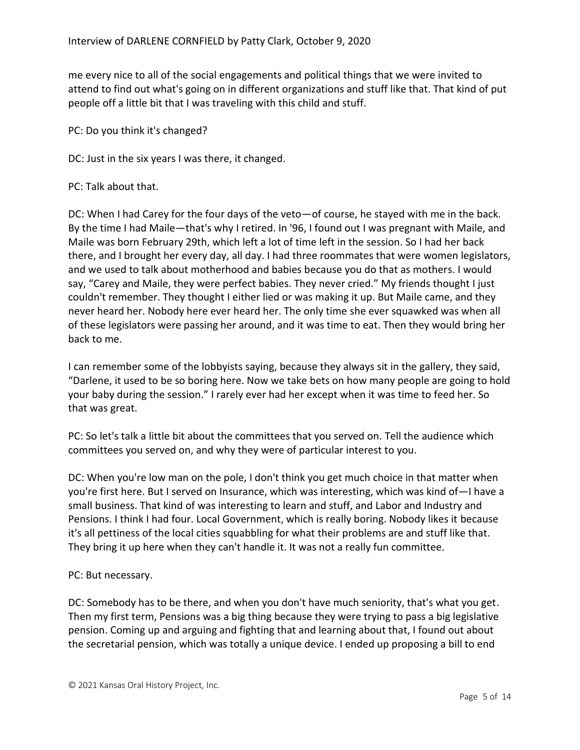me every nice to all of the social engagements and political things that we were invited to attend to find out what's going on in different organizations and stuff like that. That kind of put people off a little bit that I was traveling with this child and stuff.

PC: Do you think it's changed?

DC: Just in the six years I was there, it changed.

#### PC: Talk about that.

DC: When I had Carey for the four days of the veto—of course, he stayed with me in the back. By the time I had Maile—that's why I retired. In '96, I found out I was pregnant with Maile, and Maile was born February 29th, which left a lot of time left in the session. So I had her back there, and I brought her every day, all day. I had three roommates that were women legislators, and we used to talk about motherhood and babies because you do that as mothers. I would say, "Carey and Maile, they were perfect babies. They never cried." My friends thought I just couldn't remember. They thought I either lied or was making it up. But Maile came, and they never heard her. Nobody here ever heard her. The only time she ever squawked was when all of these legislators were passing her around, and it was time to eat. Then they would bring her back to me.

I can remember some of the lobbyists saying, because they always sit in the gallery, they said, "Darlene, it used to be so boring here. Now we take bets on how many people are going to hold your baby during the session." I rarely ever had her except when it was time to feed her. So that was great.

PC: So let's talk a little bit about the committees that you served on. Tell the audience which committees you served on, and why they were of particular interest to you.

DC: When you're low man on the pole, I don't think you get much choice in that matter when you're first here. But I served on Insurance, which was interesting, which was kind of—I have a small business. That kind of was interesting to learn and stuff, and Labor and Industry and Pensions. I think I had four. Local Government, which is really boring. Nobody likes it because it's all pettiness of the local cities squabbling for what their problems are and stuff like that. They bring it up here when they can't handle it. It was not a really fun committee.

### PC: But necessary.

DC: Somebody has to be there, and when you don't have much seniority, that's what you get. Then my first term, Pensions was a big thing because they were trying to pass a big legislative pension. Coming up and arguing and fighting that and learning about that, I found out about the secretarial pension, which was totally a unique device. I ended up proposing a bill to end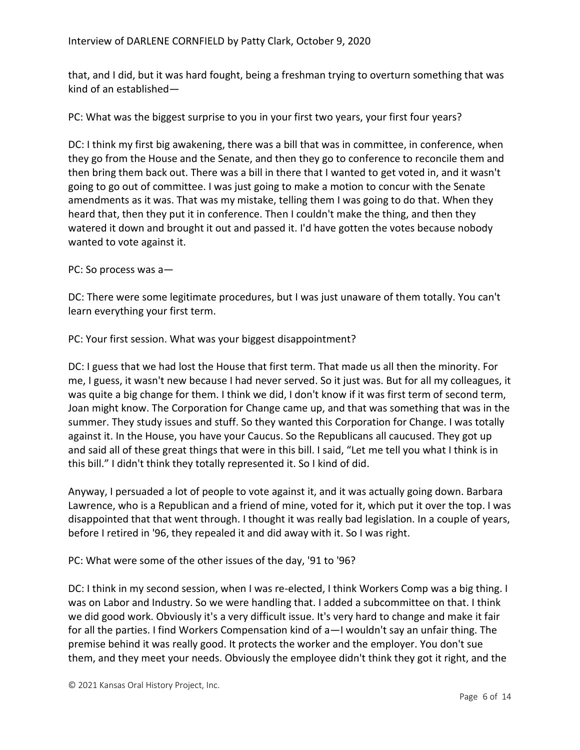that, and I did, but it was hard fought, being a freshman trying to overturn something that was kind of an established—

PC: What was the biggest surprise to you in your first two years, your first four years?

DC: I think my first big awakening, there was a bill that was in committee, in conference, when they go from the House and the Senate, and then they go to conference to reconcile them and then bring them back out. There was a bill in there that I wanted to get voted in, and it wasn't going to go out of committee. I was just going to make a motion to concur with the Senate amendments as it was. That was my mistake, telling them I was going to do that. When they heard that, then they put it in conference. Then I couldn't make the thing, and then they watered it down and brought it out and passed it. I'd have gotten the votes because nobody wanted to vote against it.

PC: So process was a—

DC: There were some legitimate procedures, but I was just unaware of them totally. You can't learn everything your first term.

PC: Your first session. What was your biggest disappointment?

DC: I guess that we had lost the House that first term. That made us all then the minority. For me, I guess, it wasn't new because I had never served. So it just was. But for all my colleagues, it was quite a big change for them. I think we did, I don't know if it was first term of second term, Joan might know. The Corporation for Change came up, and that was something that was in the summer. They study issues and stuff. So they wanted this Corporation for Change. I was totally against it. In the House, you have your Caucus. So the Republicans all caucused. They got up and said all of these great things that were in this bill. I said, "Let me tell you what I think is in this bill." I didn't think they totally represented it. So I kind of did.

Anyway, I persuaded a lot of people to vote against it, and it was actually going down. Barbara Lawrence, who is a Republican and a friend of mine, voted for it, which put it over the top. I was disappointed that that went through. I thought it was really bad legislation. In a couple of years, before I retired in '96, they repealed it and did away with it. So I was right.

PC: What were some of the other issues of the day, '91 to '96?

DC: I think in my second session, when I was re-elected, I think Workers Comp was a big thing. I was on Labor and Industry. So we were handling that. I added a subcommittee on that. I think we did good work. Obviously it's a very difficult issue. It's very hard to change and make it fair for all the parties. I find Workers Compensation kind of a—I wouldn't say an unfair thing. The premise behind it was really good. It protects the worker and the employer. You don't sue them, and they meet your needs. Obviously the employee didn't think they got it right, and the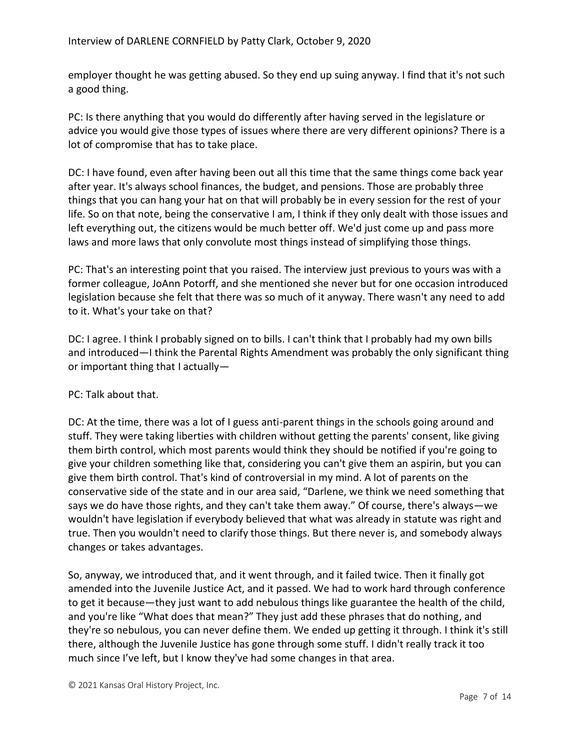employer thought he was getting abused. So they end up suing anyway. I find that it's not such a good thing.

PC: Is there anything that you would do differently after having served in the legislature or advice you would give those types of issues where there are very different opinions? There is a lot of compromise that has to take place.

DC: I have found, even after having been out all this time that the same things come back year after year. It's always school finances, the budget, and pensions. Those are probably three things that you can hang your hat on that will probably be in every session for the rest of your life. So on that note, being the conservative I am, I think if they only dealt with those issues and left everything out, the citizens would be much better off. We'd just come up and pass more laws and more laws that only convolute most things instead of simplifying those things.

PC: That's an interesting point that you raised. The interview just previous to yours was with a former colleague, JoAnn Potorff, and she mentioned she never but for one occasion introduced legislation because she felt that there was so much of it anyway. There wasn't any need to add to it. What's your take on that?

DC: I agree. I think I probably signed on to bills. I can't think that I probably had my own bills and introduced—I think the Parental Rights Amendment was probably the only significant thing or important thing that I actually—

### PC: Talk about that.

DC: At the time, there was a lot of I guess anti-parent things in the schools going around and stuff. They were taking liberties with children without getting the parents' consent, like giving them birth control, which most parents would think they should be notified if you're going to give your children something like that, considering you can't give them an aspirin, but you can give them birth control. That's kind of controversial in my mind. A lot of parents on the conservative side of the state and in our area said, "Darlene, we think we need something that says we do have those rights, and they can't take them away." Of course, there's always—we wouldn't have legislation if everybody believed that what was already in statute was right and true. Then you wouldn't need to clarify those things. But there never is, and somebody always changes or takes advantages.

So, anyway, we introduced that, and it went through, and it failed twice. Then it finally got amended into the Juvenile Justice Act, and it passed. We had to work hard through conference to get it because—they just want to add nebulous things like guarantee the health of the child, and you're like "What does that mean?" They just add these phrases that do nothing, and they're so nebulous, you can never define them. We ended up getting it through. I think it's still there, although the Juvenile Justice has gone through some stuff. I didn't really track it too much since I've left, but I know they've had some changes in that area.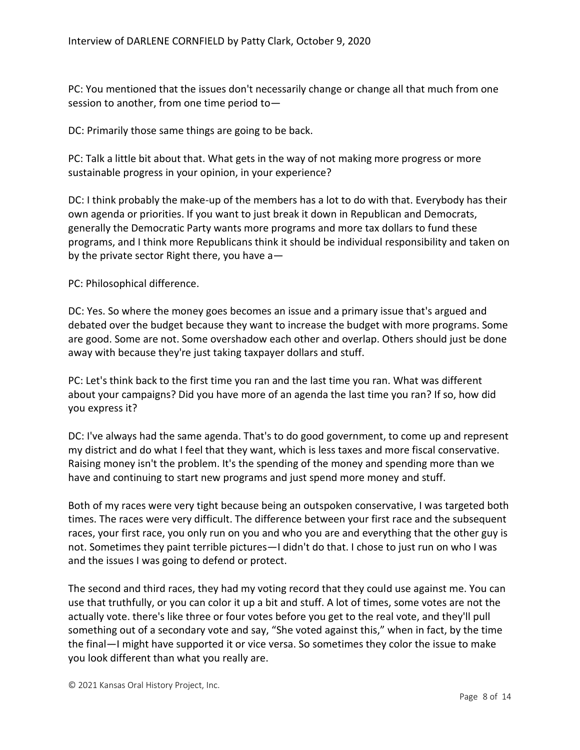PC: You mentioned that the issues don't necessarily change or change all that much from one session to another, from one time period to—

DC: Primarily those same things are going to be back.

PC: Talk a little bit about that. What gets in the way of not making more progress or more sustainable progress in your opinion, in your experience?

DC: I think probably the make-up of the members has a lot to do with that. Everybody has their own agenda or priorities. If you want to just break it down in Republican and Democrats, generally the Democratic Party wants more programs and more tax dollars to fund these programs, and I think more Republicans think it should be individual responsibility and taken on by the private sector Right there, you have a—

PC: Philosophical difference.

DC: Yes. So where the money goes becomes an issue and a primary issue that's argued and debated over the budget because they want to increase the budget with more programs. Some are good. Some are not. Some overshadow each other and overlap. Others should just be done away with because they're just taking taxpayer dollars and stuff.

PC: Let's think back to the first time you ran and the last time you ran. What was different about your campaigns? Did you have more of an agenda the last time you ran? If so, how did you express it?

DC: I've always had the same agenda. That's to do good government, to come up and represent my district and do what I feel that they want, which is less taxes and more fiscal conservative. Raising money isn't the problem. It's the spending of the money and spending more than we have and continuing to start new programs and just spend more money and stuff.

Both of my races were very tight because being an outspoken conservative, I was targeted both times. The races were very difficult. The difference between your first race and the subsequent races, your first race, you only run on you and who you are and everything that the other guy is not. Sometimes they paint terrible pictures—I didn't do that. I chose to just run on who I was and the issues I was going to defend or protect.

The second and third races, they had my voting record that they could use against me. You can use that truthfully, or you can color it up a bit and stuff. A lot of times, some votes are not the actually vote. there's like three or four votes before you get to the real vote, and they'll pull something out of a secondary vote and say, "She voted against this," when in fact, by the time the final—I might have supported it or vice versa. So sometimes they color the issue to make you look different than what you really are.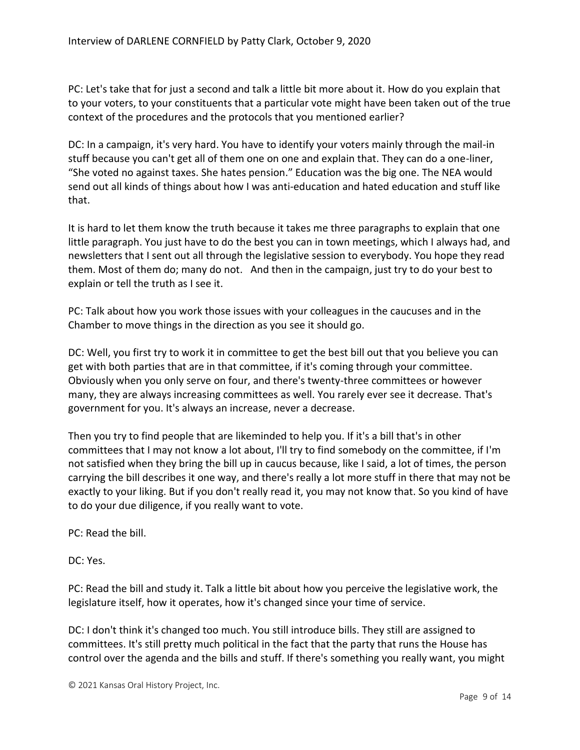PC: Let's take that for just a second and talk a little bit more about it. How do you explain that to your voters, to your constituents that a particular vote might have been taken out of the true context of the procedures and the protocols that you mentioned earlier?

DC: In a campaign, it's very hard. You have to identify your voters mainly through the mail-in stuff because you can't get all of them one on one and explain that. They can do a one-liner, "She voted no against taxes. She hates pension." Education was the big one. The NEA would send out all kinds of things about how I was anti-education and hated education and stuff like that.

It is hard to let them know the truth because it takes me three paragraphs to explain that one little paragraph. You just have to do the best you can in town meetings, which I always had, and newsletters that I sent out all through the legislative session to everybody. You hope they read them. Most of them do; many do not. And then in the campaign, just try to do your best to explain or tell the truth as I see it.

PC: Talk about how you work those issues with your colleagues in the caucuses and in the Chamber to move things in the direction as you see it should go.

DC: Well, you first try to work it in committee to get the best bill out that you believe you can get with both parties that are in that committee, if it's coming through your committee. Obviously when you only serve on four, and there's twenty-three committees or however many, they are always increasing committees as well. You rarely ever see it decrease. That's government for you. It's always an increase, never a decrease.

Then you try to find people that are likeminded to help you. If it's a bill that's in other committees that I may not know a lot about, I'll try to find somebody on the committee, if I'm not satisfied when they bring the bill up in caucus because, like I said, a lot of times, the person carrying the bill describes it one way, and there's really a lot more stuff in there that may not be exactly to your liking. But if you don't really read it, you may not know that. So you kind of have to do your due diligence, if you really want to vote.

PC: Read the bill.

DC: Yes.

PC: Read the bill and study it. Talk a little bit about how you perceive the legislative work, the legislature itself, how it operates, how it's changed since your time of service.

DC: I don't think it's changed too much. You still introduce bills. They still are assigned to committees. It's still pretty much political in the fact that the party that runs the House has control over the agenda and the bills and stuff. If there's something you really want, you might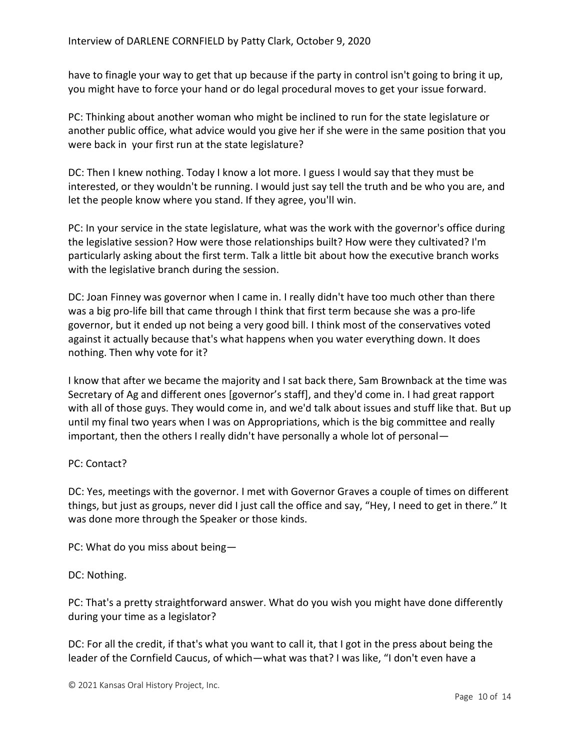have to finagle your way to get that up because if the party in control isn't going to bring it up, you might have to force your hand or do legal procedural moves to get your issue forward.

PC: Thinking about another woman who might be inclined to run for the state legislature or another public office, what advice would you give her if she were in the same position that you were back in your first run at the state legislature?

DC: Then I knew nothing. Today I know a lot more. I guess I would say that they must be interested, or they wouldn't be running. I would just say tell the truth and be who you are, and let the people know where you stand. If they agree, you'll win.

PC: In your service in the state legislature, what was the work with the governor's office during the legislative session? How were those relationships built? How were they cultivated? I'm particularly asking about the first term. Talk a little bit about how the executive branch works with the legislative branch during the session.

DC: Joan Finney was governor when I came in. I really didn't have too much other than there was a big pro-life bill that came through I think that first term because she was a pro-life governor, but it ended up not being a very good bill. I think most of the conservatives voted against it actually because that's what happens when you water everything down. It does nothing. Then why vote for it?

I know that after we became the majority and I sat back there, Sam Brownback at the time was Secretary of Ag and different ones [governor's staff], and they'd come in. I had great rapport with all of those guys. They would come in, and we'd talk about issues and stuff like that. But up until my final two years when I was on Appropriations, which is the big committee and really important, then the others I really didn't have personally a whole lot of personal—

# PC: Contact?

DC: Yes, meetings with the governor. I met with Governor Graves a couple of times on different things, but just as groups, never did I just call the office and say, "Hey, I need to get in there." It was done more through the Speaker or those kinds.

PC: What do you miss about being—

# DC: Nothing.

PC: That's a pretty straightforward answer. What do you wish you might have done differently during your time as a legislator?

DC: For all the credit, if that's what you want to call it, that I got in the press about being the leader of the Cornfield Caucus, of which—what was that? I was like, "I don't even have a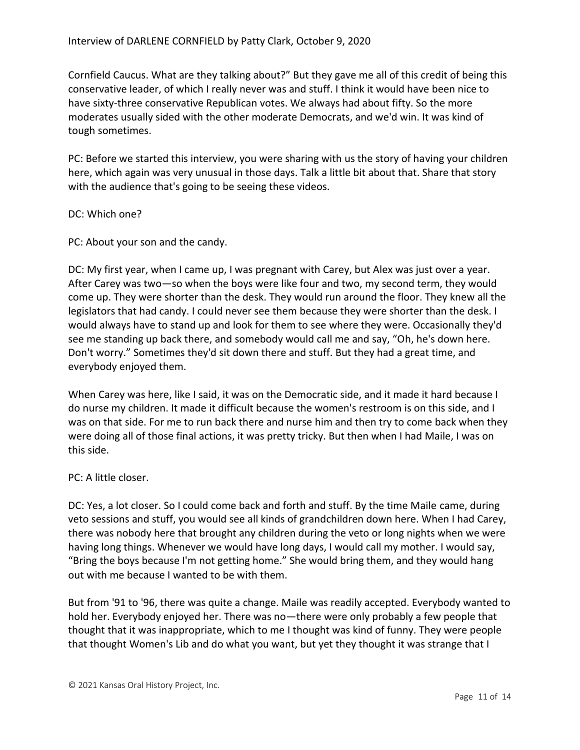Cornfield Caucus. What are they talking about?" But they gave me all of this credit of being this conservative leader, of which I really never was and stuff. I think it would have been nice to have sixty-three conservative Republican votes. We always had about fifty. So the more moderates usually sided with the other moderate Democrats, and we'd win. It was kind of tough sometimes.

PC: Before we started this interview, you were sharing with us the story of having your children here, which again was very unusual in those days. Talk a little bit about that. Share that story with the audience that's going to be seeing these videos.

#### DC: Which one?

PC: About your son and the candy.

DC: My first year, when I came up, I was pregnant with Carey, but Alex was just over a year. After Carey was two—so when the boys were like four and two, my second term, they would come up. They were shorter than the desk. They would run around the floor. They knew all the legislators that had candy. I could never see them because they were shorter than the desk. I would always have to stand up and look for them to see where they were. Occasionally they'd see me standing up back there, and somebody would call me and say, "Oh, he's down here. Don't worry." Sometimes they'd sit down there and stuff. But they had a great time, and everybody enjoyed them.

When Carey was here, like I said, it was on the Democratic side, and it made it hard because I do nurse my children. It made it difficult because the women's restroom is on this side, and I was on that side. For me to run back there and nurse him and then try to come back when they were doing all of those final actions, it was pretty tricky. But then when I had Maile, I was on this side.

### PC: A little closer.

DC: Yes, a lot closer. So I could come back and forth and stuff. By the time Maile came, during veto sessions and stuff, you would see all kinds of grandchildren down here. When I had Carey, there was nobody here that brought any children during the veto or long nights when we were having long things. Whenever we would have long days, I would call my mother. I would say, "Bring the boys because I'm not getting home." She would bring them, and they would hang out with me because I wanted to be with them.

But from '91 to '96, there was quite a change. Maile was readily accepted. Everybody wanted to hold her. Everybody enjoyed her. There was no—there were only probably a few people that thought that it was inappropriate, which to me I thought was kind of funny. They were people that thought Women's Lib and do what you want, but yet they thought it was strange that I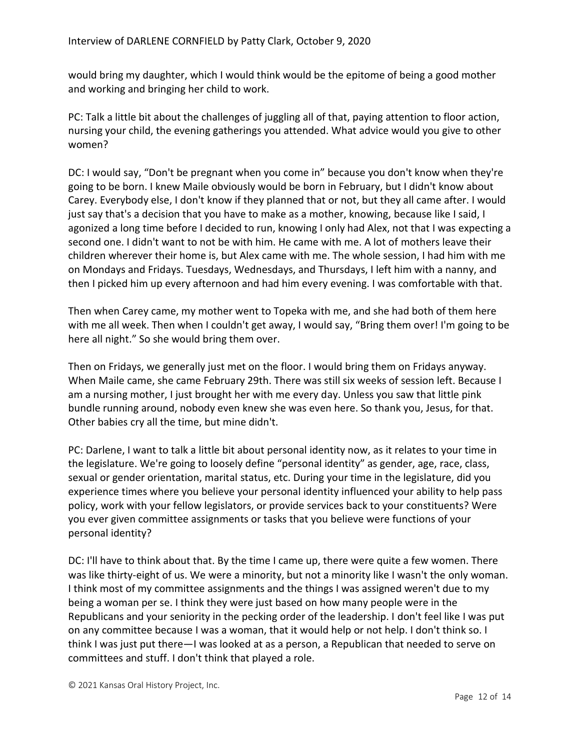would bring my daughter, which I would think would be the epitome of being a good mother and working and bringing her child to work.

PC: Talk a little bit about the challenges of juggling all of that, paying attention to floor action, nursing your child, the evening gatherings you attended. What advice would you give to other women?

DC: I would say, "Don't be pregnant when you come in" because you don't know when they're going to be born. I knew Maile obviously would be born in February, but I didn't know about Carey. Everybody else, I don't know if they planned that or not, but they all came after. I would just say that's a decision that you have to make as a mother, knowing, because like I said, I agonized a long time before I decided to run, knowing I only had Alex, not that I was expecting a second one. I didn't want to not be with him. He came with me. A lot of mothers leave their children wherever their home is, but Alex came with me. The whole session, I had him with me on Mondays and Fridays. Tuesdays, Wednesdays, and Thursdays, I left him with a nanny, and then I picked him up every afternoon and had him every evening. I was comfortable with that.

Then when Carey came, my mother went to Topeka with me, and she had both of them here with me all week. Then when I couldn't get away, I would say, "Bring them over! I'm going to be here all night." So she would bring them over.

Then on Fridays, we generally just met on the floor. I would bring them on Fridays anyway. When Maile came, she came February 29th. There was still six weeks of session left. Because I am a nursing mother, I just brought her with me every day. Unless you saw that little pink bundle running around, nobody even knew she was even here. So thank you, Jesus, for that. Other babies cry all the time, but mine didn't.

PC: Darlene, I want to talk a little bit about personal identity now, as it relates to your time in the legislature. We're going to loosely define "personal identity" as gender, age, race, class, sexual or gender orientation, marital status, etc. During your time in the legislature, did you experience times where you believe your personal identity influenced your ability to help pass policy, work with your fellow legislators, or provide services back to your constituents? Were you ever given committee assignments or tasks that you believe were functions of your personal identity?

DC: I'll have to think about that. By the time I came up, there were quite a few women. There was like thirty-eight of us. We were a minority, but not a minority like I wasn't the only woman. I think most of my committee assignments and the things I was assigned weren't due to my being a woman per se. I think they were just based on how many people were in the Republicans and your seniority in the pecking order of the leadership. I don't feel like I was put on any committee because I was a woman, that it would help or not help. I don't think so. I think I was just put there—I was looked at as a person, a Republican that needed to serve on committees and stuff. I don't think that played a role.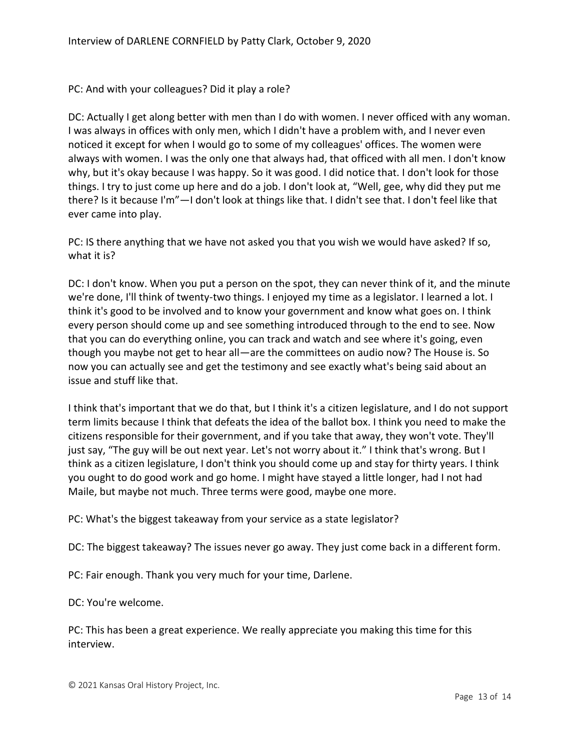PC: And with your colleagues? Did it play a role?

DC: Actually I get along better with men than I do with women. I never officed with any woman. I was always in offices with only men, which I didn't have a problem with, and I never even noticed it except for when I would go to some of my colleagues' offices. The women were always with women. I was the only one that always had, that officed with all men. I don't know why, but it's okay because I was happy. So it was good. I did notice that. I don't look for those things. I try to just come up here and do a job. I don't look at, "Well, gee, why did they put me there? Is it because I'm"—I don't look at things like that. I didn't see that. I don't feel like that ever came into play.

PC: IS there anything that we have not asked you that you wish we would have asked? If so, what it is?

DC: I don't know. When you put a person on the spot, they can never think of it, and the minute we're done, I'll think of twenty-two things. I enjoyed my time as a legislator. I learned a lot. I think it's good to be involved and to know your government and know what goes on. I think every person should come up and see something introduced through to the end to see. Now that you can do everything online, you can track and watch and see where it's going, even though you maybe not get to hear all—are the committees on audio now? The House is. So now you can actually see and get the testimony and see exactly what's being said about an issue and stuff like that.

I think that's important that we do that, but I think it's a citizen legislature, and I do not support term limits because I think that defeats the idea of the ballot box. I think you need to make the citizens responsible for their government, and if you take that away, they won't vote. They'll just say, "The guy will be out next year. Let's not worry about it." I think that's wrong. But I think as a citizen legislature, I don't think you should come up and stay for thirty years. I think you ought to do good work and go home. I might have stayed a little longer, had I not had Maile, but maybe not much. Three terms were good, maybe one more.

PC: What's the biggest takeaway from your service as a state legislator?

DC: The biggest takeaway? The issues never go away. They just come back in a different form.

PC: Fair enough. Thank you very much for your time, Darlene.

DC: You're welcome.

PC: This has been a great experience. We really appreciate you making this time for this interview.